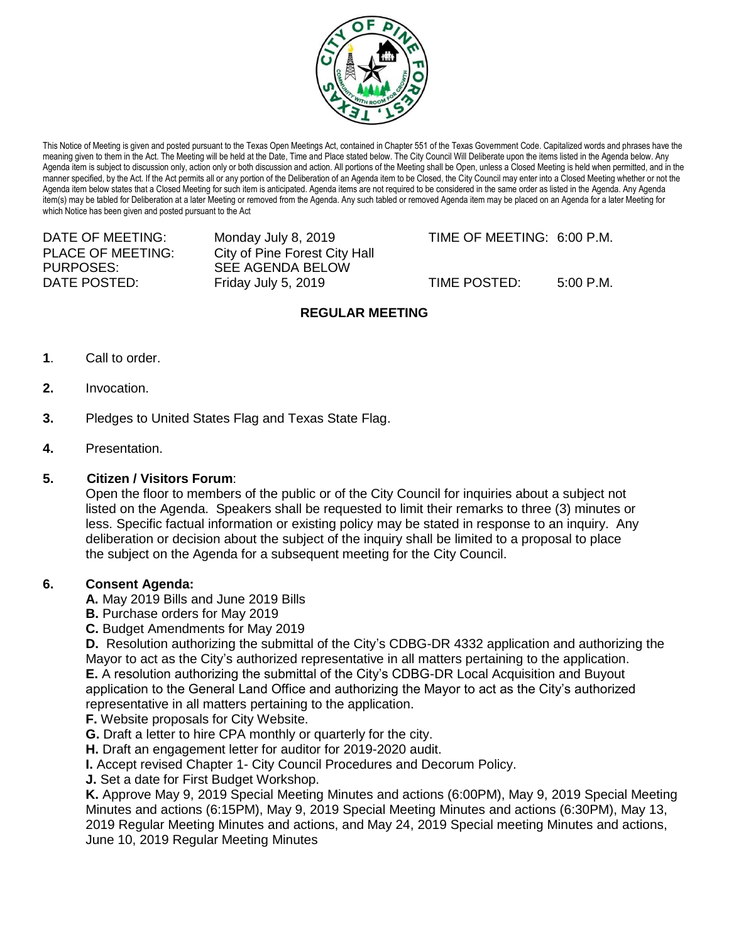

This Notice of Meeting is given and posted pursuant to the Texas Open Meetings Act, contained in Chapter 551 of the Texas Government Code. Capitalized words and phrases have the meaning given to them in the Act. The Meeting will be held at the Date, Time and Place stated below. The City Council Will Deliberate upon the items listed in the Agenda below. Any Agenda item is subject to discussion only, action only or both discussion and action. All portions of the Meeting shall be Open, unless a Closed Meeting is held when permitted, and in the manner specified, by the Act. If the Act permits all or any portion of the Deliberation of an Agenda item to be Closed, the City Council may enter into a Closed Meeting whether or not the Agenda item below states that a Closed Meeting for such item is anticipated. Agenda items are not required to be considered in the same order as listed in the Agenda. Any Agenda item(s) may be tabled for Deliberation at a later Meeting or removed from the Agenda. Any such tabled or removed Agenda item may be placed on an Agenda for a later Meeting for which Notice has been given and posted pursuant to the Act

PURPOSES: SEE AGENDA BELOW

PLACE OF MEETING: City of Pine Forest City Hall DATE POSTED: Friday July 5, 2019 TIME POSTED: 5:00 P.M.

DATE OF MEETING: Monday July 8, 2019 TIME OF MEETING: 6:00 P.M.

# **REGULAR MEETING**

- **1**. Call to order.
- **2.** Invocation.
- **3.** Pledges to United States Flag and Texas State Flag.
- **4.** Presentation.

## **5. Citizen / Visitors Forum**:

Open the floor to members of the public or of the City Council for inquiries about a subject not listed on the Agenda. Speakers shall be requested to limit their remarks to three (3) minutes or less. Specific factual information or existing policy may be stated in response to an inquiry. Any deliberation or decision about the subject of the inquiry shall be limited to a proposal to place the subject on the Agenda for a subsequent meeting for the City Council.

## **6. Consent Agenda:**

**A.** May 2019 Bills and June 2019 Bills

- **B.** Purchase orders for May 2019
- **C.** Budget Amendments for May 2019

**D.** Resolution authorizing the submittal of the City's CDBG-DR 4332 application and authorizing the Mayor to act as the City's authorized representative in all matters pertaining to the application.

**E.** A resolution authorizing the submittal of the City's CDBG-DR Local Acquisition and Buyout application to the General Land Office and authorizing the Mayor to act as the City's authorized representative in all matters pertaining to the application.

**F.** Website proposals for City Website.

**G.** Draft a letter to hire CPA monthly or quarterly for the city.

**H.** Draft an engagement letter for auditor for 2019-2020 audit.

**I.** Accept revised Chapter 1- City Council Procedures and Decorum Policy.

**J.** Set a date for First Budget Workshop.

**K.** Approve May 9, 2019 Special Meeting Minutes and actions (6:00PM), May 9, 2019 Special Meeting Minutes and actions (6:15PM), May 9, 2019 Special Meeting Minutes and actions (6:30PM), May 13, 2019 Regular Meeting Minutes and actions, and May 24, 2019 Special meeting Minutes and actions, June 10, 2019 Regular Meeting Minutes